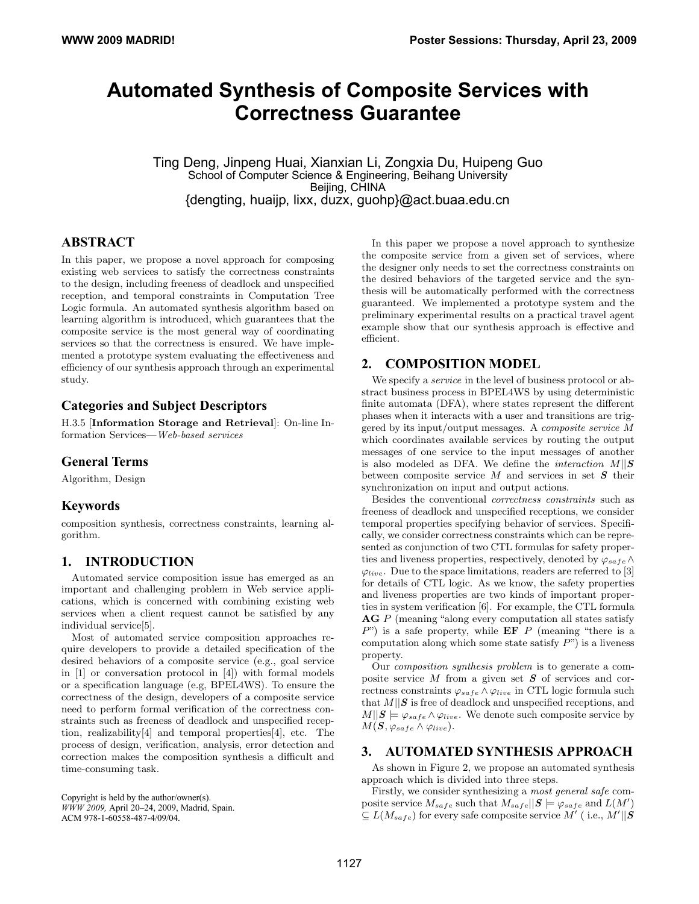# **Automated Synthesis of Composite Services with Correctness Guarantee**

Ting Deng, Jinpeng Huai, Xianxian Li, Zongxia Du, Huipeng Guo School of Computer Science & Engineering, Beihang University Beijing, CHINA {dengting, huaijp, lixx, duzx, guohp}@act.buaa.edu.cn

# **ABSTRACT**

In this paper, we propose a novel approach for composing existing web services to satisfy the correctness constraints to the design, including freeness of deadlock and unspecified reception, and temporal constraints in Computation Tree Logic formula. An automated synthesis algorithm based on learning algorithm is introduced, which guarantees that the composite service is the most general way of coordinating services so that the correctness is ensured. We have implemented a prototype system evaluating the effectiveness and efficiency of our synthesis approach through an experimental study.

# **Categories and Subject Descriptors**

H.3.5 [Information Storage and Retrieval]: On-line Information Services—Web-based services

# **General Terms**

Algorithm, Design

# **Keywords**

composition synthesis, correctness constraints, learning algorithm.

# **1. INTRODUCTION**

Automated service composition issue has emerged as an important and challenging problem in Web service applications, which is concerned with combining existing web services when a client request cannot be satisfied by any individual service[5].

Most of automated service composition approaches require developers to provide a detailed specification of the desired behaviors of a composite service (e.g., goal service in [1] or conversation protocol in [4]) with formal models or a specification language (e.g, BPEL4WS). To ensure the correctness of the design, developers of a composite service need to perform formal verification of the correctness constraints such as freeness of deadlock and unspecified reception, realizability[4] and temporal properties[4], etc. The process of design, verification, analysis, error detection and correction makes the composition synthesis a difficult and time-consuming task.

Copyright is held by the author/owner(s). *WWW 2009,* April 20–24, 2009, Madrid, Spain. ACM 978-1-60558-487-4/09/04.

In this paper we propose a novel approach to synthesize the composite service from a given set of services, where the designer only needs to set the correctness constraints on the desired behaviors of the targeted service and the synthesis will be automatically performed with the correctness guaranteed. We implemented a prototype system and the preliminary experimental results on a practical travel agent example show that our synthesis approach is effective and efficient.

### **2. COMPOSITION MODEL**

We specify a *service* in the level of business protocol or abstract business process in BPEL4WS by using deterministic finite automata (DFA), where states represent the different phases when it interacts with a user and transitions are triggered by its input/output messages. A composite service M which coordinates available services by routing the output messages of one service to the input messages of another is also modeled as DFA. We define the *interaction*  $M||S$ between composite service  $M$  and services in set  $S$  their synchronization on input and output actions.

Besides the conventional correctness constraints such as freeness of deadlock and unspecified receptions, we consider temporal properties specifying behavior of services. Specifically, we consider correctness constraints which can be represented as conjunction of two CTL formulas for safety properties and liveness properties, respectively, denoted by  $\varphi_{safe} \wedge$  $\varphi_{live}$ . Due to the space limitations, readers are referred to [3] for details of CTL logic. As we know, the safety properties and liveness properties are two kinds of important properties in system verification [6]. For example, the CTL formula AG P (meaning "along every computation all states satisfy  $P$ ") is a safe property, while **EF** P (meaning "there is a computation along which some state satisfy  $P$ ") is a liveness property.

Our composition synthesis problem is to generate a composite service  $M$  from a given set  $S$  of services and correctness constraints  $\varphi_{safe} \wedge \varphi_{live}$  in CTL logic formula such that  $M||S$  is free of deadlock and unspecified receptions, and  $M||S \models \varphi_{safe} \land \varphi_{live}.$  We denote such composite service by  $M(\mathbf{S}, \varphi_{safe} \wedge \varphi_{live}).$ 

#### **3. AUTOMATED SYNTHESIS APPROACH**

As shown in Figure 2, we propose an automated synthesis approach which is divided into three steps.

Firstly, we consider synthesizing a most general safe composite service  $M_{safe}$  such that  $M_{safe}$ || $S \models \varphi_{safe}$  and  $L(M')$  $\subseteq L(M_{safe})$  for every safe composite service M' (i.e.,  $\hat{M}' || \hat{S}$